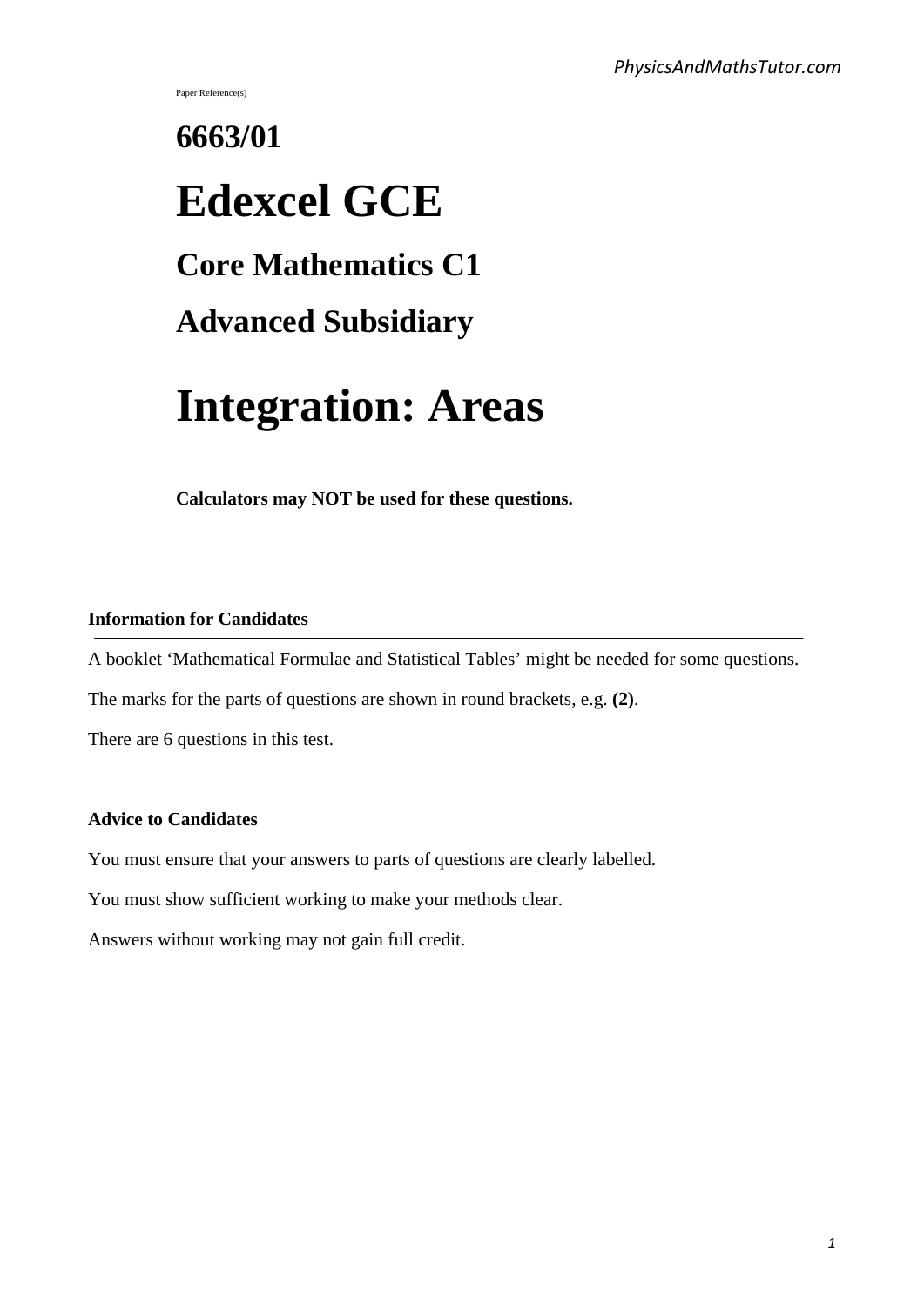Paper Reference(s)

# **6663/01 Edexcel GCE Core Mathematics C1 Advanced Subsidiary Integration: Areas**

**Calculators may NOT be used for these questions.**

#### **Information for Candidates**

A booklet 'Mathematical Formulae and Statistical Tables' might be needed for some questions.

The marks for the parts of questions are shown in round brackets, e.g. **(2)**.

There are 6 questions in this test.

#### **Advice to Candidates**

You must ensure that your answers to parts of questions are clearly labelled.

You must show sufficient working to make your methods clear.

Answers without working may not gain full credit.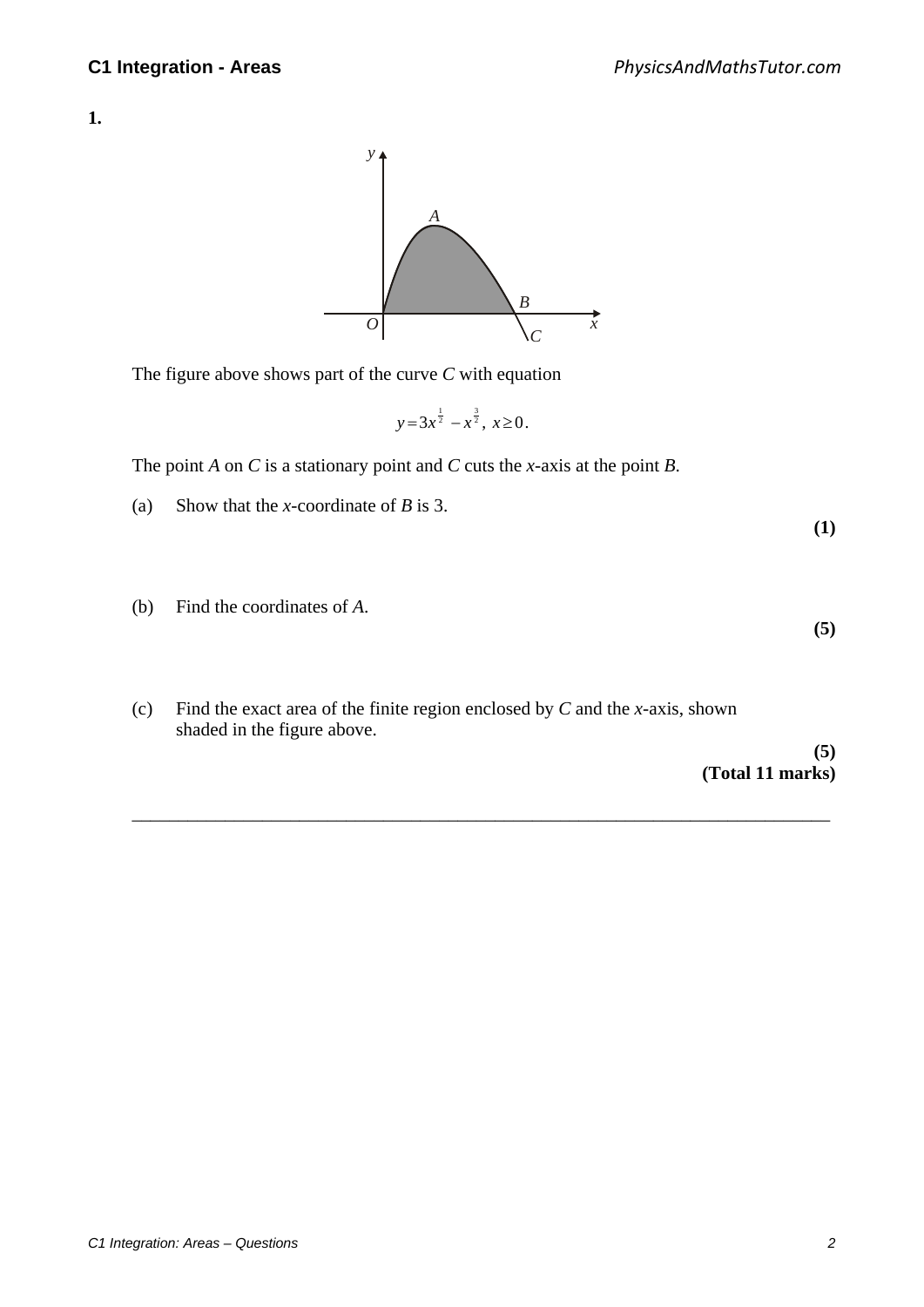**1.**



The figure above shows part of the curve *C* with equation

$$
y=3x^{\frac{1}{2}}-x^{\frac{3}{2}}, x\geq 0.
$$

The point *A* on *C* is a stationary point and *C* cuts the *x*-axis at the point *B*.

- (a) Show that the *x*-coordinate of *B* is 3.
- (b) Find the coordinates of *A*.
- (c) Find the exact area of the finite region enclosed by *C* and the *x*-axis, shown shaded in the figure above.

\_\_\_\_\_\_\_\_\_\_\_\_\_\_\_\_\_\_\_\_\_\_\_\_\_\_\_\_\_\_\_\_\_\_\_\_\_\_\_\_\_\_\_\_\_\_\_\_\_\_\_\_\_\_\_\_\_\_\_\_\_\_\_\_\_\_\_\_\_\_\_\_\_\_\_

**(5) (Total 11 marks)** 

**(1)** 

**(5)**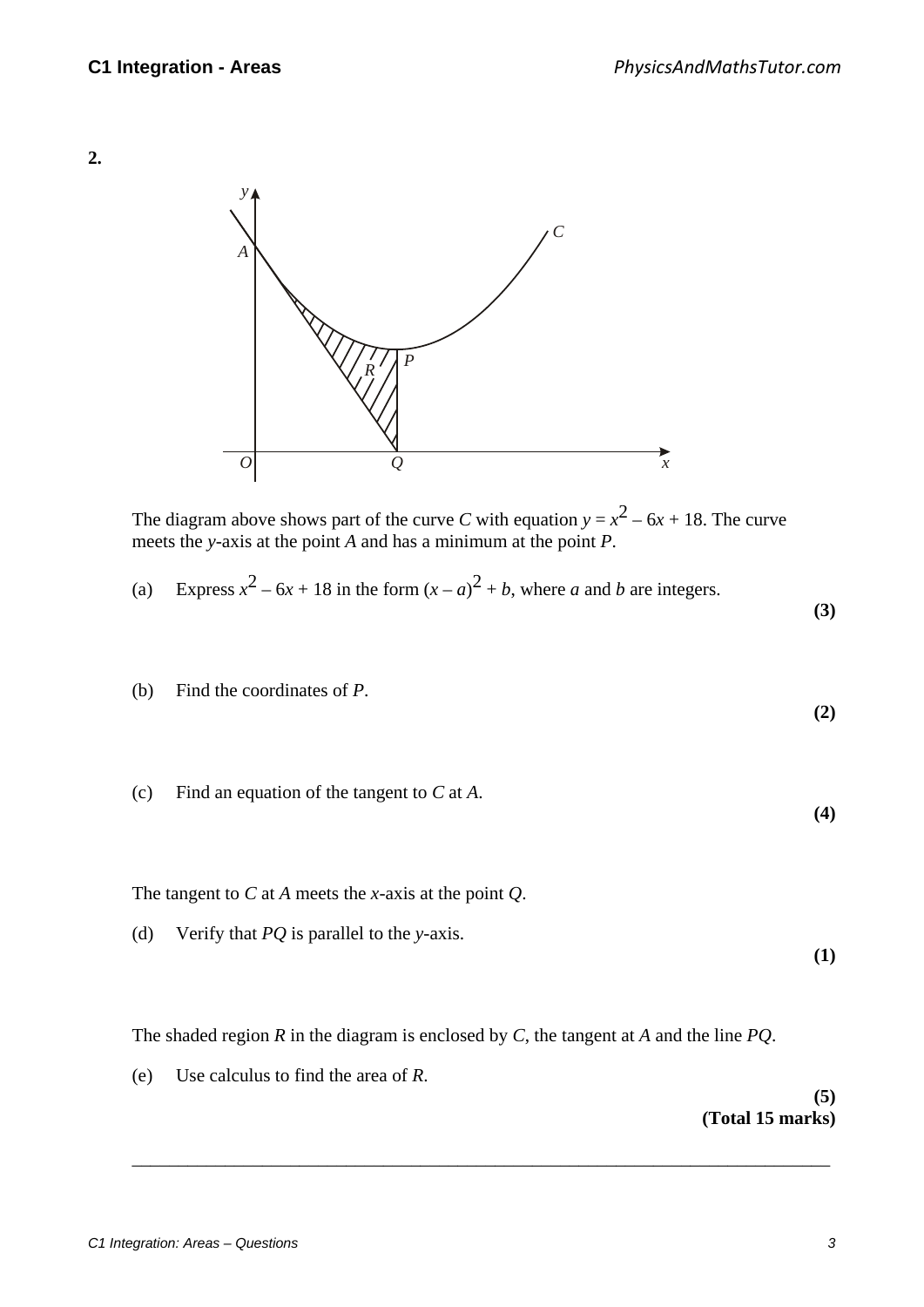## **2.**



The diagram above shows part of the curve *C* with equation  $y = x^2 - 6x + 18$ . The curve meets the *y*-axis at the point *A* and has a minimum at the point *P*.

(a) Express 
$$
x^2 - 6x + 18
$$
 in the form  $(x - a)^2 + b$ , where *a* and *b* are integers.

**(3)** 

**(2)** 

**(4)** 

**(1)** 

- (b) Find the coordinates of *P*.
- (c) Find an equation of the tangent to *C* at *A*.

The tangent to *C* at *A* meets the *x*-axis at the point *Q*.

(d) Verify that *PQ* is parallel to the *y*-axis.

The shaded region *R* in the diagram is enclosed by *C*, the tangent at *A* and the line *PQ*.

\_\_\_\_\_\_\_\_\_\_\_\_\_\_\_\_\_\_\_\_\_\_\_\_\_\_\_\_\_\_\_\_\_\_\_\_\_\_\_\_\_\_\_\_\_\_\_\_\_\_\_\_\_\_\_\_\_\_\_\_\_\_\_\_\_\_\_\_\_\_\_\_\_\_\_

(e) Use calculus to find the area of *R*.

## **(5) (Total 15 marks)**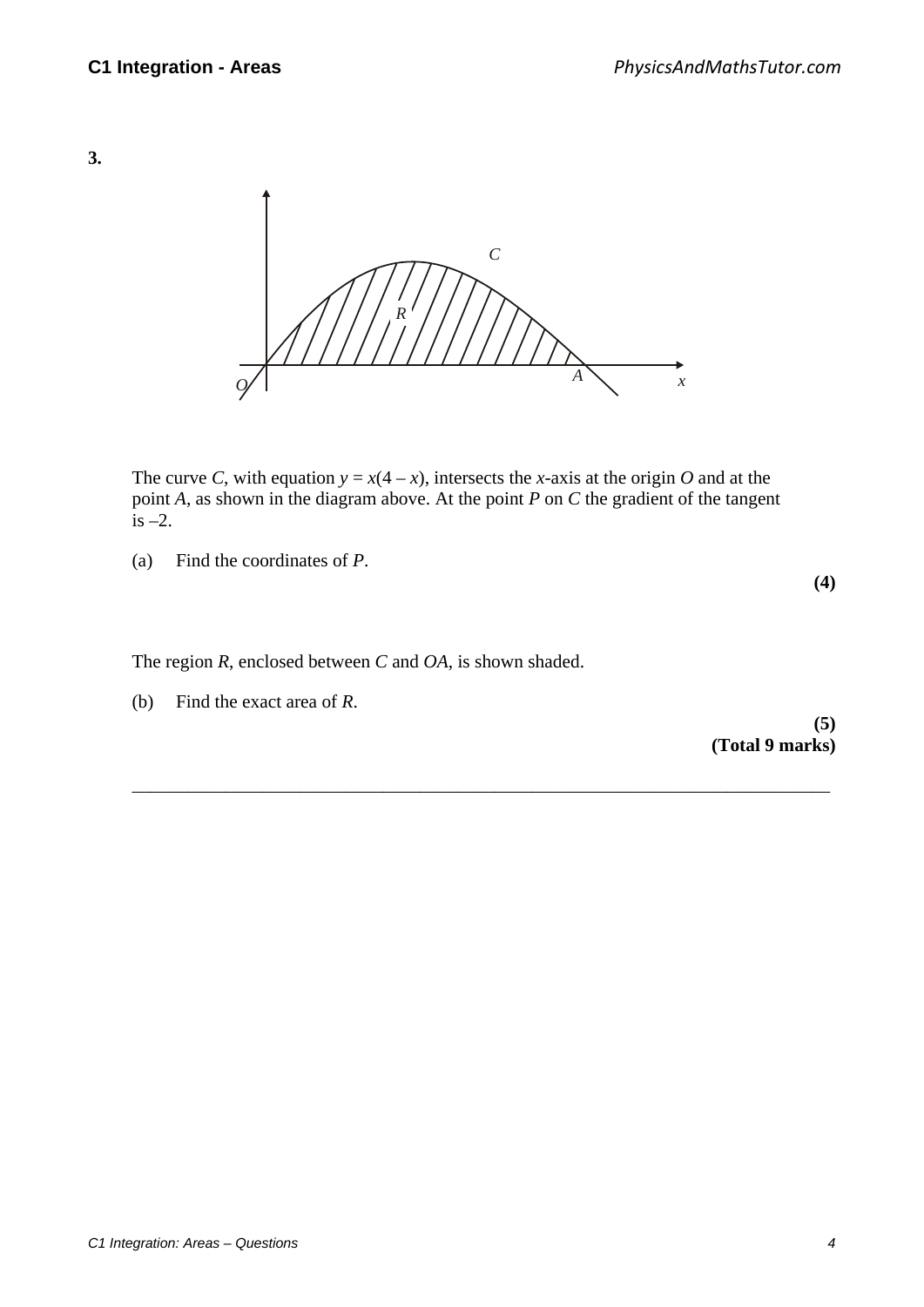



The curve *C*, with equation  $y = x(4 - x)$ , intersects the *x*-axis at the origin *O* and at the point *A*, as shown in the diagram above. At the point *P* on *C* the gradient of the tangent is  $-2$ .

\_\_\_\_\_\_\_\_\_\_\_\_\_\_\_\_\_\_\_\_\_\_\_\_\_\_\_\_\_\_\_\_\_\_\_\_\_\_\_\_\_\_\_\_\_\_\_\_\_\_\_\_\_\_\_\_\_\_\_\_\_\_\_\_\_\_\_\_\_\_\_\_\_\_\_

(a) Find the coordinates of *P*.

The region *R*, enclosed between *C* and *OA*, is shown shaded.

(b) Find the exact area of *R*.

**(5) (Total 9 marks)** 

**(4)**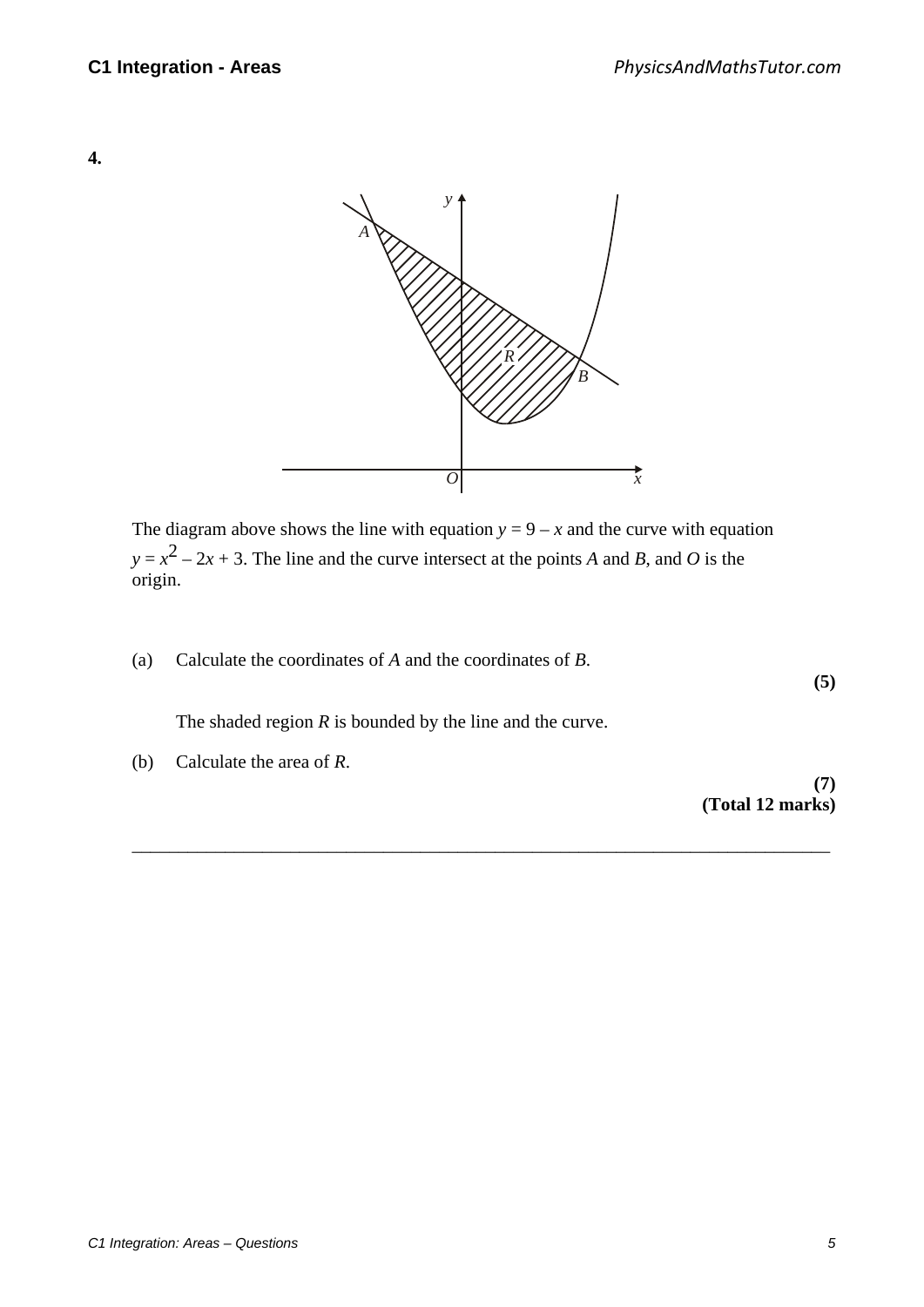



The diagram above shows the line with equation  $y = 9 - x$  and the curve with equation  $y = x^2 - 2x + 3$ . The line and the curve intersect at the points *A* and *B*, and *O* is the origin.

\_\_\_\_\_\_\_\_\_\_\_\_\_\_\_\_\_\_\_\_\_\_\_\_\_\_\_\_\_\_\_\_\_\_\_\_\_\_\_\_\_\_\_\_\_\_\_\_\_\_\_\_\_\_\_\_\_\_\_\_\_\_\_\_\_\_\_\_\_\_\_\_\_\_\_

(a) Calculate the coordinates of *A* and the coordinates of *B*.

The shaded region *R* is bounded by the line and the curve.

(b) Calculate the area of *R*.

**(7) (Total 12 marks)** 

**(5)**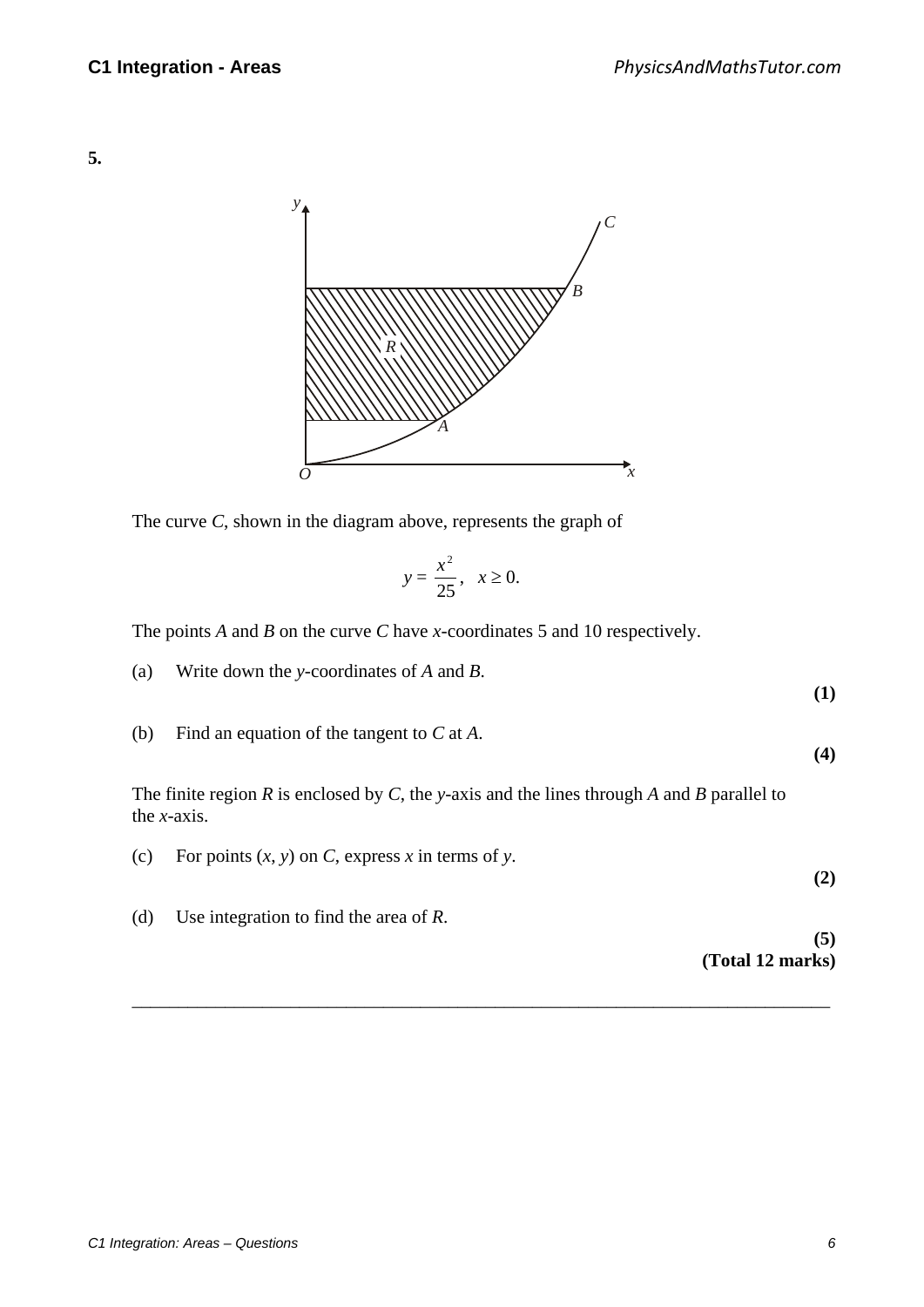



The curve *C*, shown in the diagram above, represents the graph of

$$
y = \frac{x^2}{25}, \quad x \ge 0.
$$

The points *A* and *B* on the curve *C* have *x*-coordinates 5 and 10 respectively.

- (a) Write down the *y*-coordinates of *A* and *B*.
- (b) Find an equation of the tangent to *C* at *A*.

 The finite region *R* is enclosed by *C*, the *y*-axis and the lines through *A* and *B* parallel to the *x-*axis.

(c) For points  $(x, y)$  on *C*, express *x* in terms of *y*. (d) Use integration to find the area of *R*.

\_\_\_\_\_\_\_\_\_\_\_\_\_\_\_\_\_\_\_\_\_\_\_\_\_\_\_\_\_\_\_\_\_\_\_\_\_\_\_\_\_\_\_\_\_\_\_\_\_\_\_\_\_\_\_\_\_\_\_\_\_\_\_\_\_\_\_\_\_\_\_\_\_\_\_

**(5)** 

**(1)** 

**(4)** 

**(2)** 

# **(Total 12 marks)**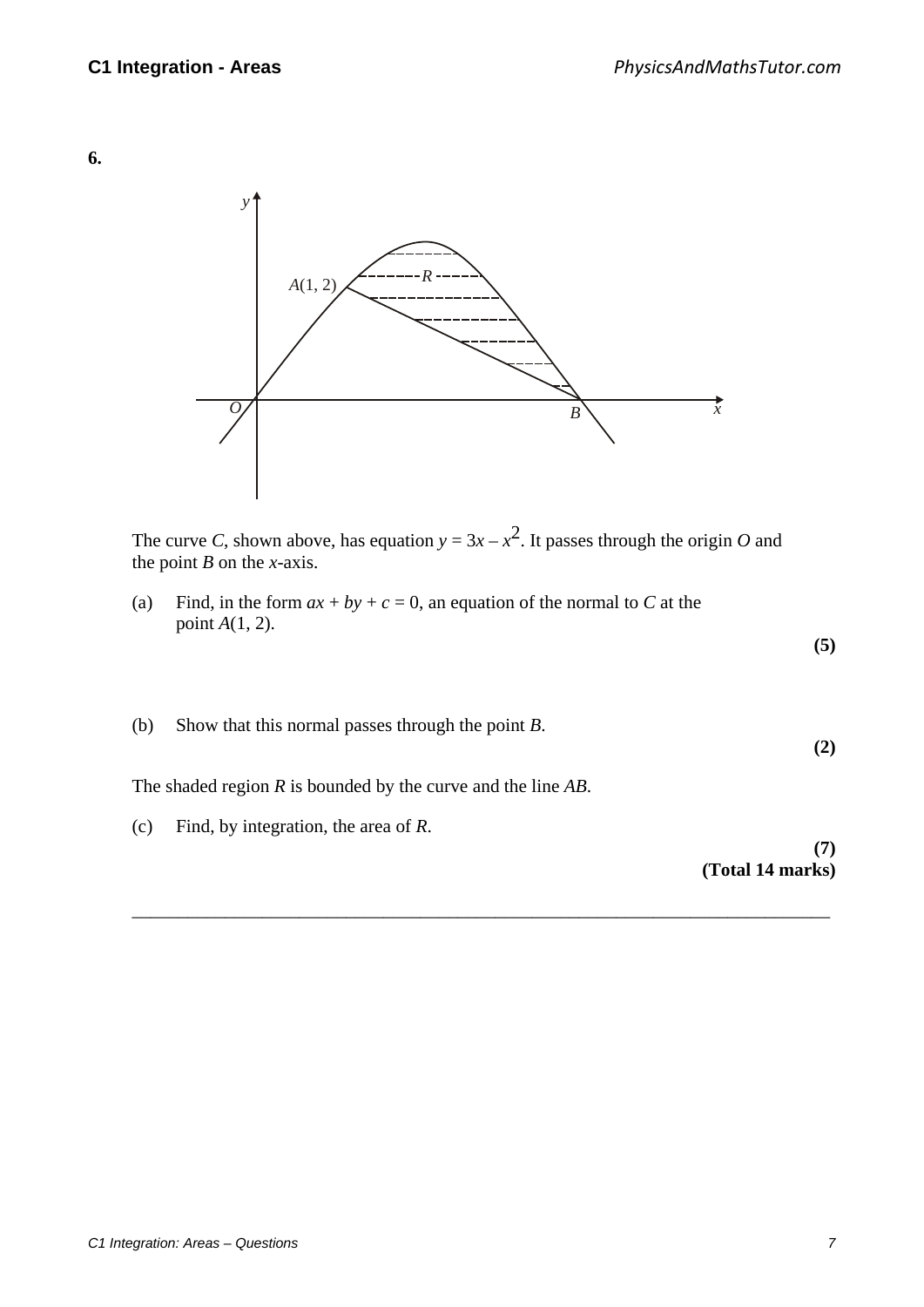**6.**



The curve *C*, shown above, has equation  $y = 3x - x^2$ . It passes through the origin *O* and the point *B* on the *x*-axis.

(a) Find, in the form  $ax + by + c = 0$ , an equation of the normal to *C* at the point *A*(1, 2).

(b) Show that this normal passes through the point *B*. **(2)** 

\_\_\_\_\_\_\_\_\_\_\_\_\_\_\_\_\_\_\_\_\_\_\_\_\_\_\_\_\_\_\_\_\_\_\_\_\_\_\_\_\_\_\_\_\_\_\_\_\_\_\_\_\_\_\_\_\_\_\_\_\_\_\_\_\_\_\_\_\_\_\_\_\_\_\_

The shaded region *R* is bounded by the curve and the line *AB*.

(c) Find, by integration, the area of *R*.

**(7) (Total 14 marks)** 

**(5)**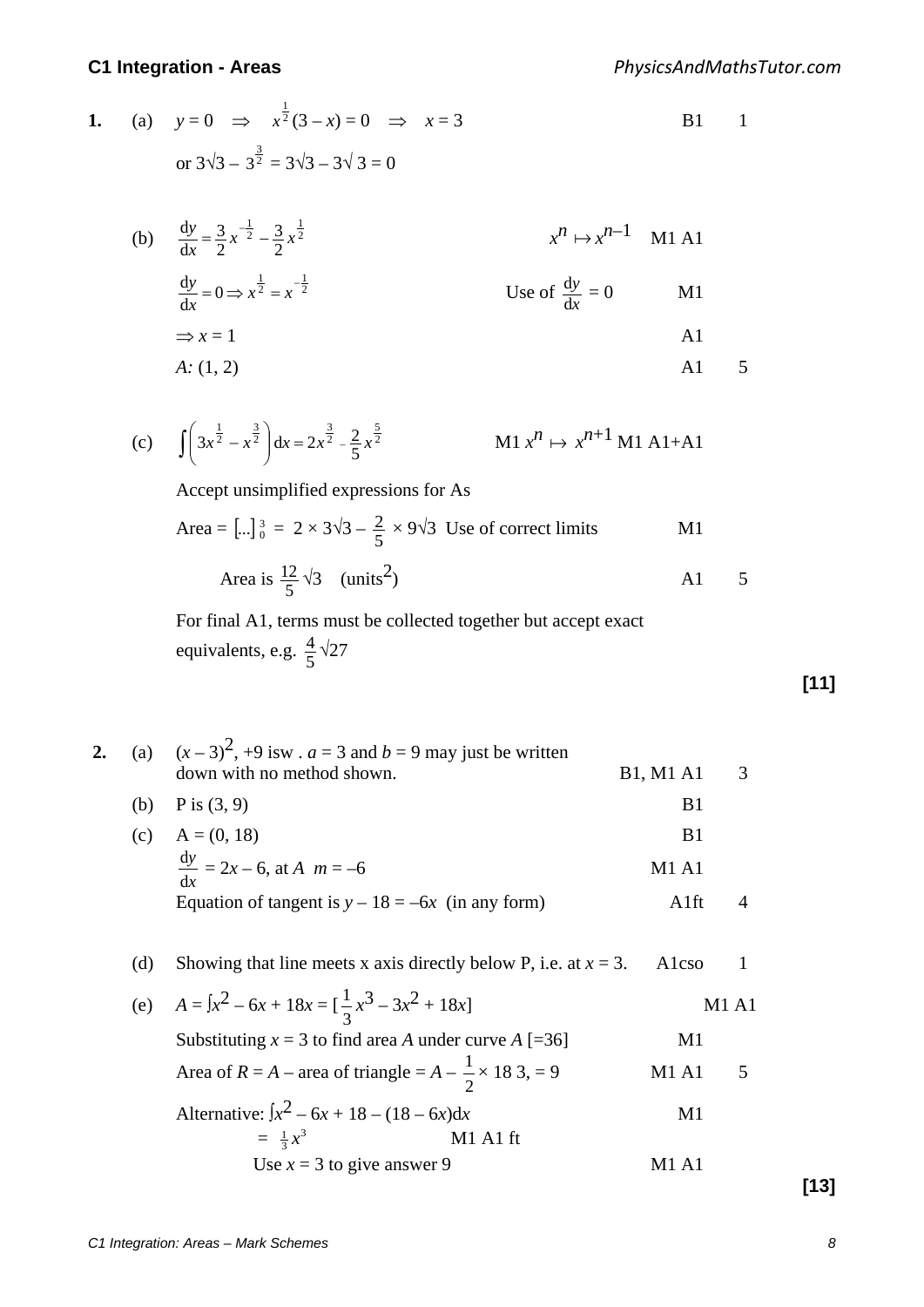#### *PhysicsAndMathsTutor.com*

### **C1 Integration - Areas**

|  | <b>1.</b> (a) $y=0$ $\implies x^{\frac{1}{2}}(3-x)=0$ $\implies x=3$ | $B1 \qquad 1$ |  |
|--|----------------------------------------------------------------------|---------------|--|
|  | or $3\sqrt{3} - 3^{\frac{3}{2}} = 3\sqrt{3} - 3\sqrt{3} = 0$         |               |  |

(b)  $\frac{dy}{dx} = \frac{3}{2}x^{-\frac{1}{2}} - \frac{3}{2}x^{\frac{1}{2}}$  $\frac{3}{2}x^{-\frac{1}{2}} - \frac{3}{2}$ d  $\frac{dy}{dx} = \frac{3}{2}x^{-\frac{1}{2}} - \frac{3}{2}x$  $x^n \mapsto x^{n-1}$  M1 A1  $rac{dy}{dx} = 0 \Rightarrow x^{\frac{1}{2}} = x^{-\frac{1}{2}}$  Use of *x y*  $\frac{dy}{dx} = 0$  M1  $\Rightarrow$  *x* = 1 A1 *A:* (1, 2) **A1** 5

(c) 
$$
\int \left(3x^{\frac{1}{2}} - x^{\frac{3}{2}}\right) dx = 2x^{\frac{3}{2}} - \frac{2}{5}x^{\frac{5}{2}}
$$
 M1  $x^n \mapsto x^{n+1}$  M1 A1+A1

Accept unsimplified expressions for As

Area = 
$$
[\dots]_0^3 = 2 \times 3\sqrt{3} - \frac{2}{5} \times 9\sqrt{3}
$$
 Use of correct limits  
Area is  $\frac{12}{5}\sqrt{3}$  (units<sup>2</sup>)  
A1 5

For final A1, terms must be collected together but accept exact equivalents, e.g.  $\frac{4}{5}$  $\sqrt{27}$ 

**[11]**

\n- 2. (a) 
$$
(x-3)^2
$$
, +9 is  $x$ .  $a = 3$  and  $b = 9$  may just be written down with no method shown.
\n- (b) P is (3, 9)
\n- (c)  $A = (0, 18)$   $\frac{dy}{dx} = 2x - 6$ , at  $A$   $m = -6$   $M1 \text{ A1}$   $B1$   $M1 \text{ A1}$   $B1$   $M1 \text{ A1}$   $B1$   $M1 \text{ A1}$   $B1$   $M1 \text{ A1}$   $B1$   $M1 \text{ A1}$   $B1$   $A1 \text{ A1}$   $B1$   $B1$   $A1 \text{ A1}$   $B1$   $A1 \text{ A1}$   $B1$   $A1 \text{ A1}$   $A1 \text{ A1}$   $A1 \text{ A1}$   $A1 \text{ A1}$   $A1 \text{ A1}$   $A1 \text{ A1}$   $A1 \text{ A1}$   $A1 \text{ A1}$   $A1 \text{ A1}$   $A1 \text{ A1}$   $A1 \text{ A1}$   $A1 \text{ A1}$   $A1 \text{ A1}$   $A1 \text{ A1}$   $A1 \text{ A1}$   $A1 \text{ A1}$   $A1 \text{ A1}$   $A1 \text{ A1}$   $A1 \text{ A1}$   $A1 \text{ A1}$   $A1 \text{ A1}$   $A1 \text{ A1}$

|  |  |  |  | (d) Showing that line meets x axis directly below P, i.e. at $x = 3$ . Alcso 1 |  |  |
|--|--|--|--|--------------------------------------------------------------------------------|--|--|
|--|--|--|--|--------------------------------------------------------------------------------|--|--|

(e)  $A = \int x^2 - 6x + 18x = \left[\frac{1}{3}x^3 - 3x^2 + 18x\right]$  M1 A1 Substituting  $x = 3$  to find area *A* under curve  $A$  [=36] M1 Area of *R* = *A* – area of triangle =  $A - \frac{1}{2} \times 183 = 9$  M1 A1 5 Alternative:  $\int x^2 - 6x + 18 - (18 - 6x) dx$  M1  $= \frac{1}{2} x^3$ <sup>3</sup> *x* M1 A1 ft Use  $x = 3$  to give answer 9 M1 A1

**[13]**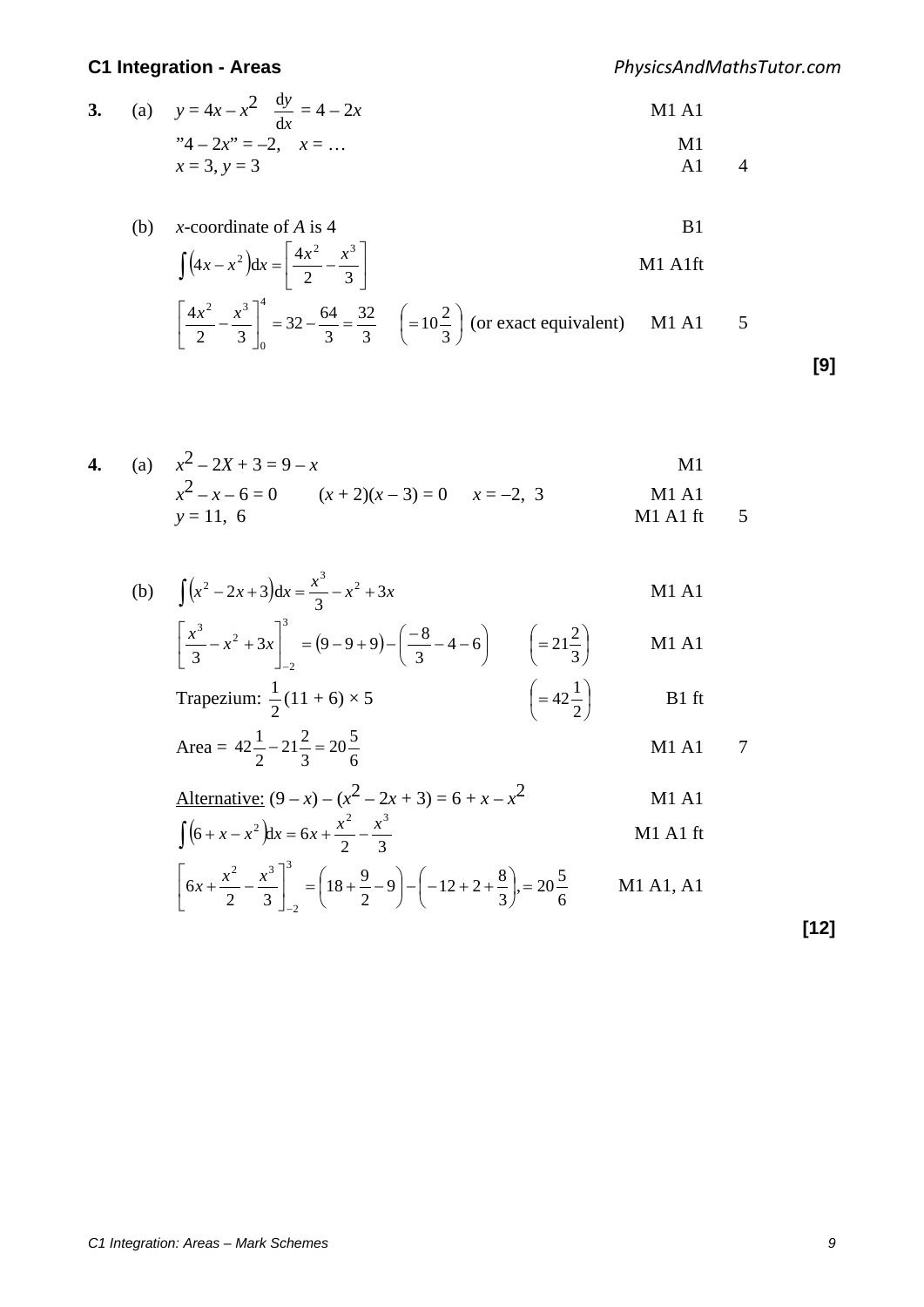$\rfloor$ 

 $\mathbf{0}$ 

*PhysicsAndMathsTutor.com*

3. (a) 
$$
y = 4x - x^2 \frac{dy}{dx} = 4 - 2x
$$
  
\n ${}^{3}4 - 2x^3 = -2, \quad x = ...$   
\n $x = 3, y = 3$   
\nM1 A1  
\nM1  
\nA1  
\nA1  
\nA1  
\nA1  
\nA1  
\nA2

(b) x-coordinate of A is 4  
\n
$$
\int (4x - x^2) dx = \left[ \frac{4x^2}{2} - \frac{x^3}{3} \right]
$$
\n
$$
\left[ \frac{4x^2}{2} - \frac{x^3}{3} \right]_0^4 = 32 - \frac{64}{3} = \frac{32}{3} \quad \left( = 10\frac{2}{3} \right) \text{ (or exact equivalent)} \quad \text{M1 A1} \quad 5
$$

J

**[9]**

4. (a) 
$$
x^2 - 2X + 3 = 9 - x
$$
  
\t $x^2 - x - 6 = 0$   $(x + 2)(x - 3) = 0$   $x = -2, 3$   
\t $y = 11, 6$   
\t $y = 11, 6$   
11 A1  
\t $x = -2, 3$   
\t $x = -2, 3$   
\t $x = -2, 3$   
\t $x = -2, 3$ 

(b) 
$$
\int (x^2 - 2x + 3) dx = \frac{x^3}{3} - x^2 + 3x
$$
 M1 A1

$$
\left[\frac{x^3}{3} - x^2 + 3x\right]_{-2}^{3} = (9 - 9 + 9) - \left(\frac{-8}{3} - 4 - 6\right) \qquad \left(= 21\frac{2}{3}\right) \qquad \text{M1 A1}
$$

$$
\text{Trapezium: } \frac{1}{2}(11+6) \times 5 \qquad \qquad \left(=42\frac{1}{2}\right) \qquad \qquad \text{B1 ft}
$$

Area = 
$$
42\frac{1}{2} - 21\frac{2}{3} = 20\frac{5}{6}
$$
 M1 A1 7

Alternative: 
$$
(9 - x) - (x^2 - 2x + 3) = 6 + x - x^2
$$
  
\n
$$
\int (6 + x - x^2) dx = 6x + \frac{x^2}{2} - \frac{x^3}{3}
$$
\nM1 A1 ft

$$
\[6x + \frac{x^2}{2} - \frac{x^3}{3}\]_{-2}^{3} = \left(18 + \frac{9}{2} - 9\right) - \left(-12 + 2 + \frac{8}{3}\right) = 20\frac{5}{6} \qquad \text{M1 A1, A1}
$$

**[12]**

*C1 Integration: Areas – Mark Schemes 9*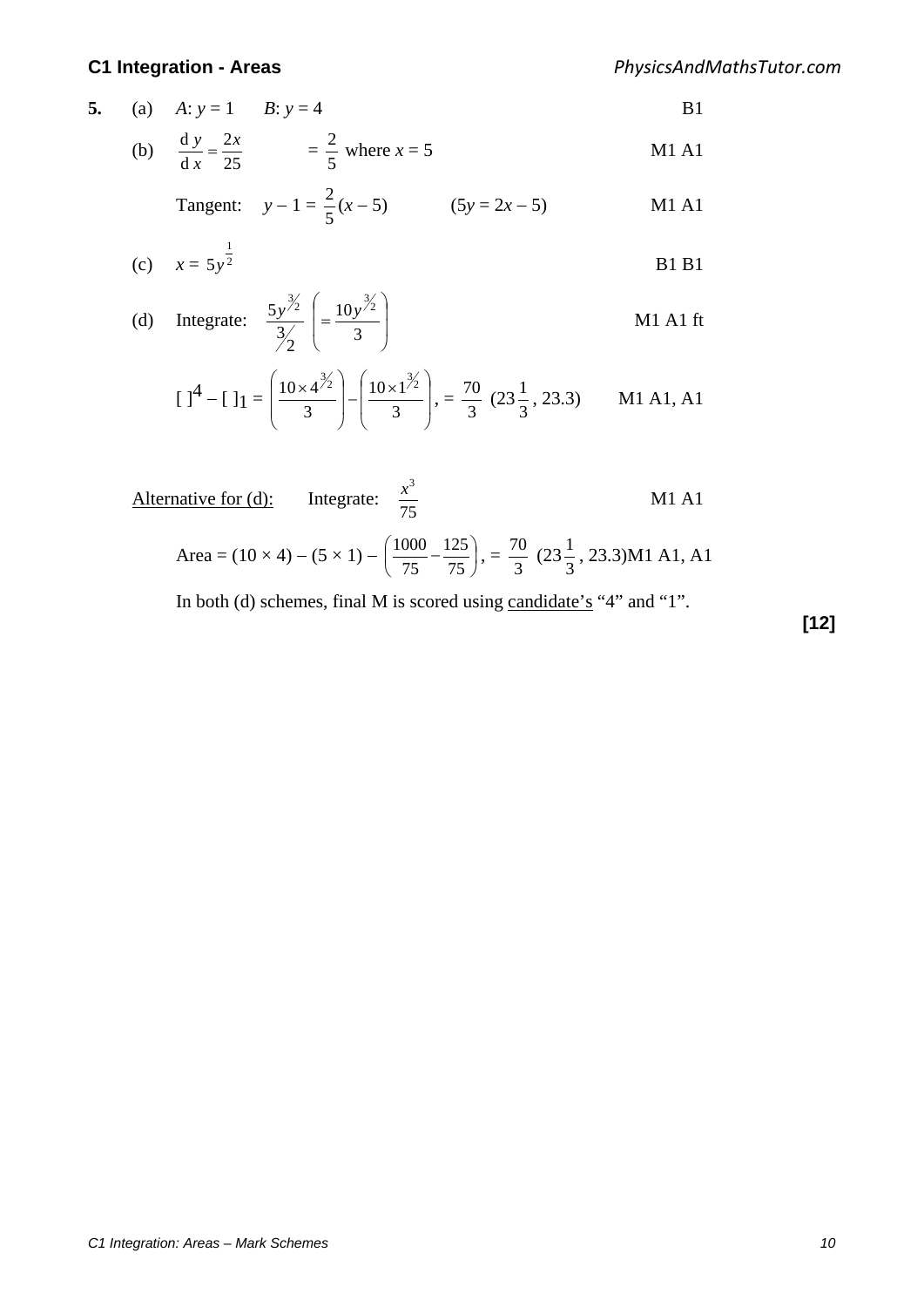*PhysicsAndMathsTutor.com*

- **5.** (a)  $A: y = 1$   $B: y = 4$  B1
	- (b)  $\frac{dy}{dx} = \frac{2x}{25}$  d d  $y$  2x *x*  $\frac{y}{2} = \frac{2x}{25}$  = 5  $\frac{2}{5}$  where *x* = 5 M1 A1

Tangent: 
$$
y-1 = \frac{2}{5}(x-5)
$$
 (5y = 2x - 5) M1 A1

(c) 
$$
x = 5y^{\frac{1}{2}}
$$
 B1B1

(d) Integrate: 
$$
\frac{5y^{\frac{3}{2}}}{\frac{3}{2}}\left(=\frac{10y^{\frac{3}{2}}}{3}\right)
$$
 M1 A1 ft

$$
\left[1^4 - 1\right]1 = \left(\frac{10 \times 4^{3/2}}{3}\right) - \left(\frac{10 \times 1^{3/2}}{3}\right), = \frac{70}{3} (23\frac{1}{3}, 23.3) \quad \text{M1 A1, A1}
$$

Alternative for (d): Integrate: 
$$
\frac{x^3}{75}
$$

\nArea =  $(10 \times 4) - (5 \times 1) - \left(\frac{1000}{75} - \frac{125}{75}\right), = \frac{70}{3} (23\frac{1}{3}, 23.3)$ 

\nM1 A1, A1

In both (d) schemes, final M is scored using candidate's "4" and "1".

**[12]**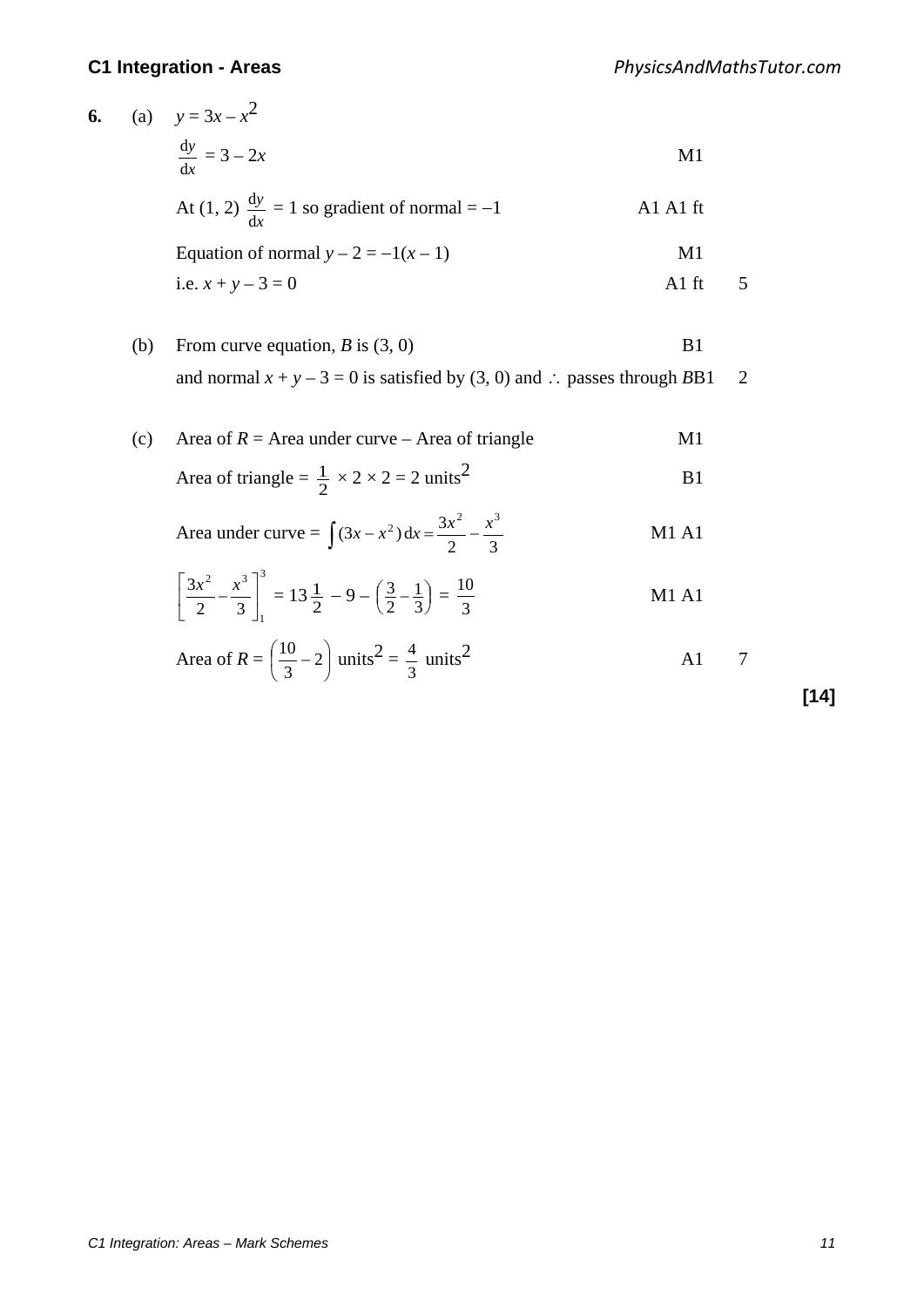**6.** (a)  $y = 3x - x^2$ *x y*  $\frac{dy}{dx} = 3 - 2x$  M1 At  $(1, 2) \frac{dy}{dx}$ *y*  $\frac{dy}{dx} = 1$  so gradient of normal = -1 A1 A1 ft Equation of normal  $y - 2 = -1(x - 1)$  M1 i.e.  $x + y - 3 = 0$  A1 ft 5

| (b) | From curve equation, B is $(3, 0)$                                         | B1 |  |
|-----|----------------------------------------------------------------------------|----|--|
|     | and normal $x + y - 3 = 0$ is satisfied by (3, 0) and : passes through BB1 |    |  |

(c) Area of  $R =$  Area under curve – Area of triangle M1 Area of triangle =  $\frac{1}{2} \times 2 \times 2 = 2 \text{ units}^2$  B1 Area under curve =  $\int (3x - x^2) dx = \frac{3x^2}{2} - \frac{x^3}{3}$  M1 A1

$$
\left[\frac{3x^2}{2} - \frac{x^3}{3}\right]_1^3 = 13\frac{1}{2} - 9 - \left(\frac{3}{2} - \frac{1}{3}\right) = \frac{10}{3}
$$
 M1 A1

Area of 
$$
R = \left(\frac{10}{3} - 2\right)
$$
 units<sup>2</sup> =  $\frac{4}{3}$  units<sup>2</sup> A1 7

**[14]**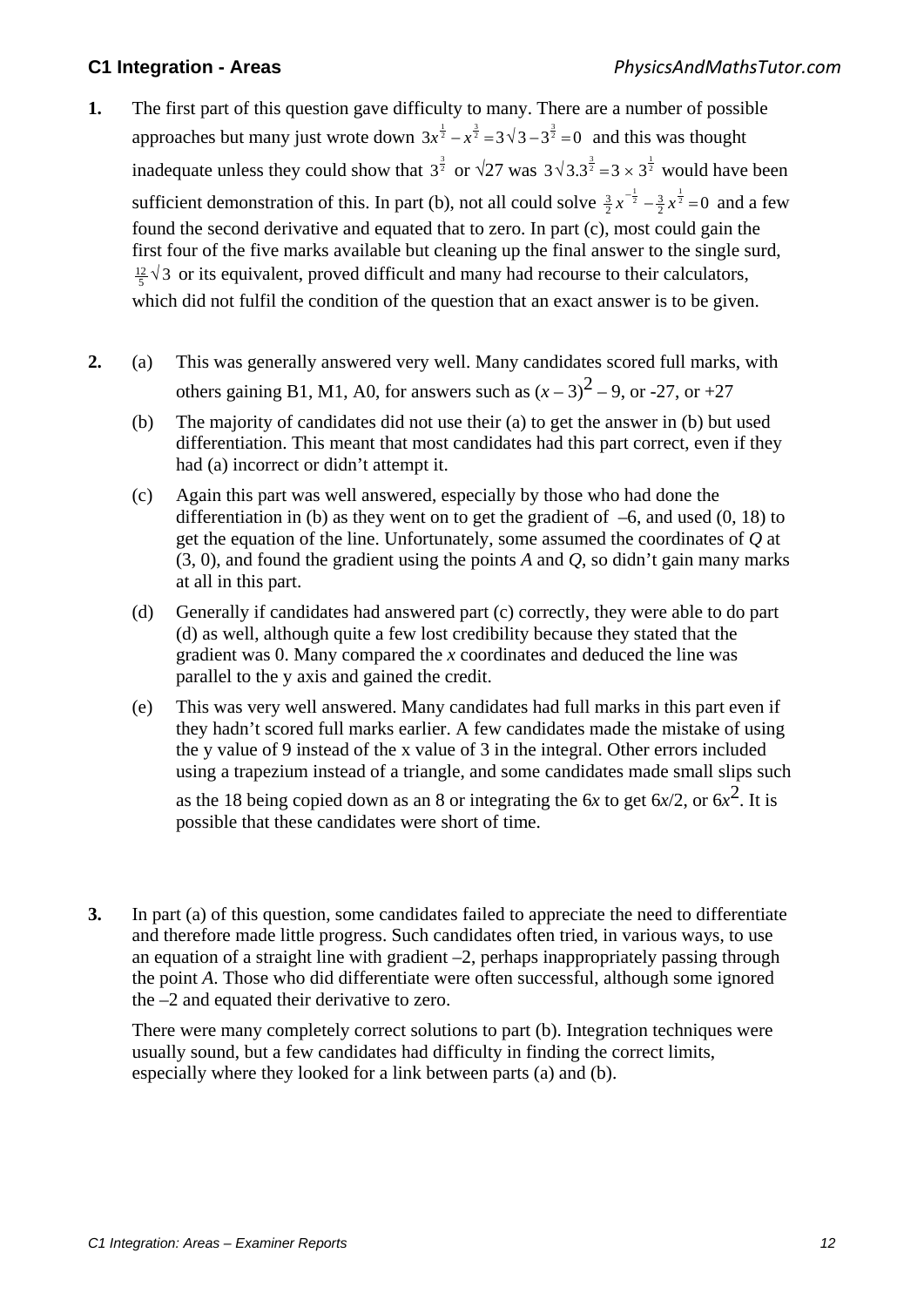- **1.** The first part of this question gave difficulty to many. There are a number of possible approaches but many just wrote down  $3x^{\frac{1}{2}} - x^{\frac{3}{2}} = 3\sqrt{3} - 3^{\frac{3}{2}} = 0$  and this was thought inadequate unless they could show that  $3^{\frac{3}{2}}$  or  $\sqrt{27}$  was  $3\sqrt{3} \cdot 3^{\frac{3}{2}} = 3 \times 3^{\frac{1}{2}}$  would have been sufficient demonstration of this. In part (b), not all could solve  $\frac{3}{2}x^{-\frac{1}{2}} - \frac{3}{2}x^{\frac{1}{2}} = 0$  $\frac{3}{2}x^{-\frac{1}{2}} - \frac{3}{2}x^{\frac{1}{2}} = 0$  and a few found the second derivative and equated that to zero. In part (c), most could gain the first four of the five marks available but cleaning up the final answer to the single surd,  $\frac{12}{5}$   $\sqrt{3}$  or its equivalent, proved difficult and many had recourse to their calculators, which did not fulfil the condition of the question that an exact answer is to be given.
- **2.** (a) This was generally answered very well. Many candidates scored full marks, with others gaining B1, M1, A0, for answers such as  $(x-3)^2$  – 9, or -27, or +27
	- (b) The majority of candidates did not use their (a) to get the answer in (b) but used differentiation. This meant that most candidates had this part correct, even if they had (a) incorrect or didn't attempt it.
	- (c) Again this part was well answered, especially by those who had done the differentiation in (b) as they went on to get the gradient of  $-6$ , and used (0, 18) to get the equation of the line. Unfortunately, some assumed the coordinates of *Q* at (3, 0), and found the gradient using the points *A* and *Q*, so didn't gain many marks at all in this part.
	- (d) Generally if candidates had answered part (c) correctly, they were able to do part (d) as well, although quite a few lost credibility because they stated that the gradient was 0. Many compared the *x* coordinates and deduced the line was parallel to the y axis and gained the credit.
	- (e) This was very well answered. Many candidates had full marks in this part even if they hadn't scored full marks earlier. A few candidates made the mistake of using the y value of 9 instead of the x value of 3 in the integral. Other errors included using a trapezium instead of a triangle, and some candidates made small slips such

as the 18 being copied down as an 8 or integrating the 6*x* to get  $6x/2$ , or  $6x^2$ . It is possible that these candidates were short of time.

**3.** In part (a) of this question, some candidates failed to appreciate the need to differentiate and therefore made little progress. Such candidates often tried, in various ways, to use an equation of a straight line with gradient –2, perhaps inappropriately passing through the point *A*. Those who did differentiate were often successful, although some ignored the –2 and equated their derivative to zero.

There were many completely correct solutions to part (b). Integration techniques were usually sound, but a few candidates had difficulty in finding the correct limits, especially where they looked for a link between parts (a) and (b).